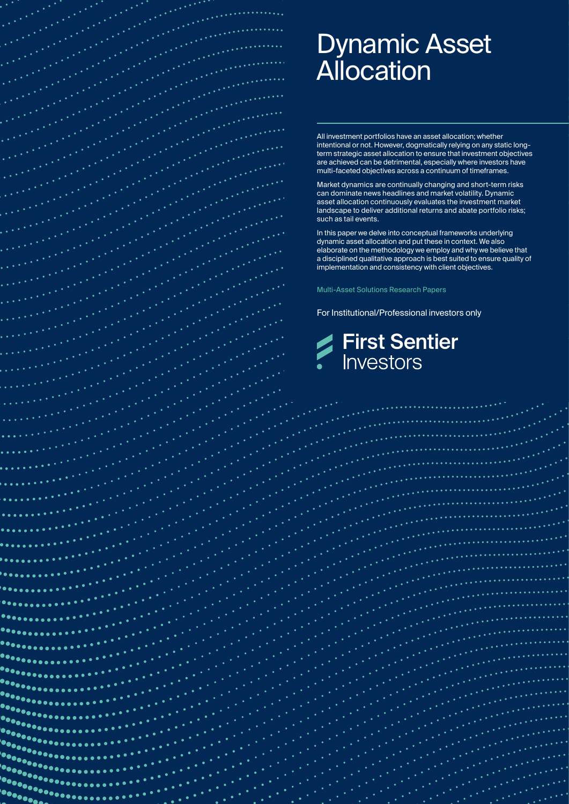

. . .

 $\bullet$  on  $\overline{\phantom{a}}$ 

# Dynamic Asset **Allocation**

All investment portfolios have an asset allocation; whether intentional or not. However, dogmatically relying on any static longterm strategic asset allocation to ensure that investment objectives are achieved can be detrimental, especially where investors have multi-faceted objectives across a continuum of timeframes.

Market dynamics are continually changing and short-term risks can dominate news headlines and market volatility. Dynamic asset allocation continuously evaluates the investment market landscape to deliver additional returns and abate portfolio risks; such as tail events.

In this paper we delve into conceptual frameworks underlying dynamic asset allocation and put these in context. We also elaborate on the methodology we employ and why we believe that a disciplined qualitative approach is best suited to ensure quality of implementation and consistency with client objectives.

Multi-Asset Solutions Research Papers

For Institutional/Professional investors only

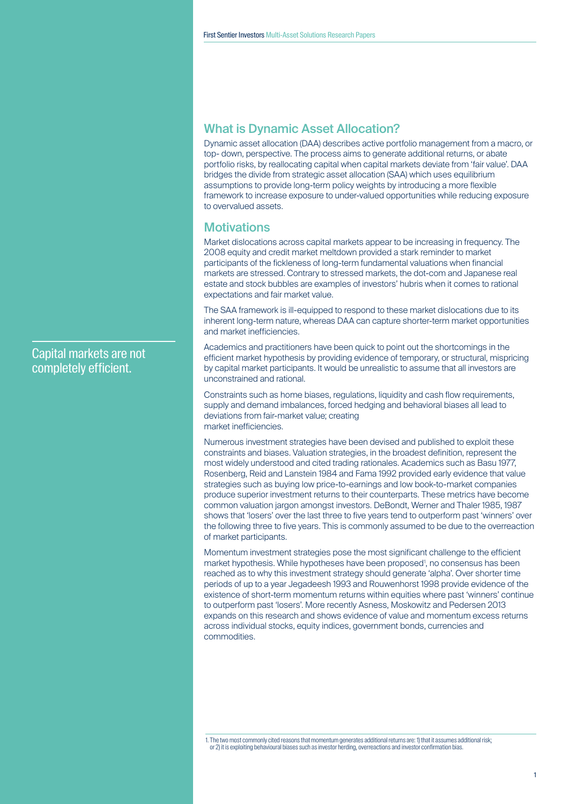Capital markets are not completely efficient.

# What is Dynamic Asset Allocation?

Dynamic asset allocation (DAA) describes active portfolio management from a macro, or top- down, perspective. The process aims to generate additional returns, or abate portfolio risks, by reallocating capital when capital markets deviate from 'fair value'. DAA bridges the divide from strategic asset allocation (SAA) which uses equilibrium assumptions to provide long-term policy weights by introducing a more flexible framework to increase exposure to under-valued opportunities while reducing exposure to overvalued assets.

#### **Motivations**

Market dislocations across capital markets appear to be increasing in frequency. The 2008 equity and credit market meltdown provided a stark reminder to market participants of the fickleness of long-term fundamental valuations when financial markets are stressed. Contrary to stressed markets, the dot-com and Japanese real estate and stock bubbles are examples of investors' hubris when it comes to rational expectations and fair market value.

The SAA framework is ill-equipped to respond to these market dislocations due to its inherent long-term nature, whereas DAA can capture shorter-term market opportunities and market inefficiencies.

Academics and practitioners have been quick to point out the shortcomings in the efficient market hypothesis by providing evidence of temporary, or structural, mispricing by capital market participants. It would be unrealistic to assume that all investors are unconstrained and rational.

Constraints such as home biases, regulations, liquidity and cash flow requirements, supply and demand imbalances, forced hedging and behavioral biases all lead to deviations from fair-market value; creating market inefficiencies.

Numerous investment strategies have been devised and published to exploit these constraints and biases. Valuation strategies, in the broadest definition, represent the most widely understood and cited trading rationales. Academics such as Basu 1977, Rosenberg, Reid and Lanstein 1984 and Fama 1992 provided early evidence that value strategies such as buying low price-to-earnings and low book-to-market companies produce superior investment returns to their counterparts. These metrics have become common valuation jargon amongst investors. DeBondt, Werner and Thaler 1985, 1987 shows that 'losers' over the last three to five years tend to outperform past 'winners' over the following three to five years. This is commonly assumed to be due to the overreaction of market participants.

Momentum investment strategies pose the most significant challenge to the efficient market hypothesis. While hypotheses have been proposed<sup>1</sup>, no consensus has been reached as to why this investment strategy should generate 'alpha'. Over shorter time periods of up to a year Jegadeesh 1993 and Rouwenhorst 1998 provide evidence of the existence of short-term momentum returns within equities where past 'winners' continue to outperform past 'losers'. More recently Asness, Moskowitz and Pedersen 2013 expands on this research and shows evidence of value and momentum excess returns across individual stocks, equity indices, government bonds, currencies and commodities.

1. The two most commonly cited reasons that momentum generates additional returns are: 1) that it assumes additional risk; or 2) it is exploiting behavioural biases such as investor herding, overreactions and investor confirmation bias.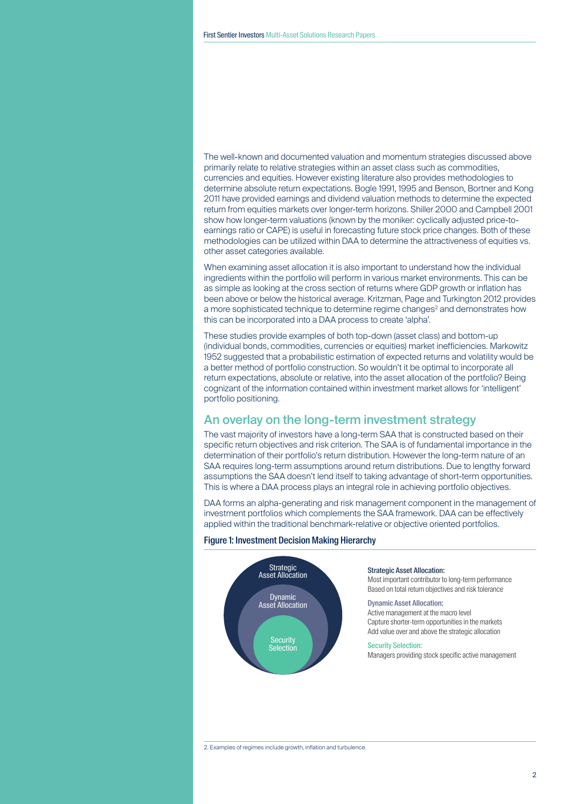The well-known and documented valuation and momentum strategies discussed above primarily relate to relative strategies within an asset class such as commodities, currencies and equities. However existing literature also provides methodologies to determine absolute return expectations. Bogle 1991, 1995 and Benson, Bortner and Kong 2011 have provided earnings and dividend valuation methods to determine the expected return from equities markets over longer-term horizons. Shiller 2000 and Campbell 2001 show how longer-term valuations (known by the moniker: cyclically adjusted price-toearnings ratio or CAPE) is useful in forecasting future stock price changes. Both of these methodologies can be utilized within DAA to determine the attractiveness of equities vs. other asset categories available.

When examining asset allocation it is also important to understand how the individual ingredients within the portfolio will perform in various market environments. This can be as simple as looking at the cross section of returns where GDP growth or inflation has been above or below the historical average. Kritzman, Page and Turkington 2012 provides a more sophisticated technique to determine regime changes<sup>2</sup> and demonstrates how this can be incorporated into a DAA process to create 'alpha'.

These studies provide examples of both top-down (asset class) and bottom-up (individual bonds, commodities, currencies or equities) market inefficiencies. Markowitz 1952 suggested that a probabilistic estimation of expected returns and volatility would be a better method of portfolio construction. So wouldn't it be optimal to incorporate all return expectations, absolute or relative, into the asset allocation of the portfolio? Being cognizant of the information contained within investment market allows for 'intelligent' portfolio positioning.

## An overlay on the long-term investment strategy

The vast majority of investors have a long-term SAA that is constructed based on their specific return objectives and risk criterion. The SAA is of fundamental importance in the determination of their portfolio's return distribution. However the long-term nature of an SAA requires long-term assumptions around return distributions. Due to lengthy forward assumptions the SAA doesn't lend itself to taking advantage of short-term opportunities. This is where a DAA process plays an integral role in achieving portfolio objectives.

DAA forms an alpha-generating and risk management component in the management of investment portfolios which complements the SAA framework. DAA can be effectively applied within the traditional benchmark-relative or objective oriented portfolios.

#### Figure 1: Investment Decision Making Hierarchy

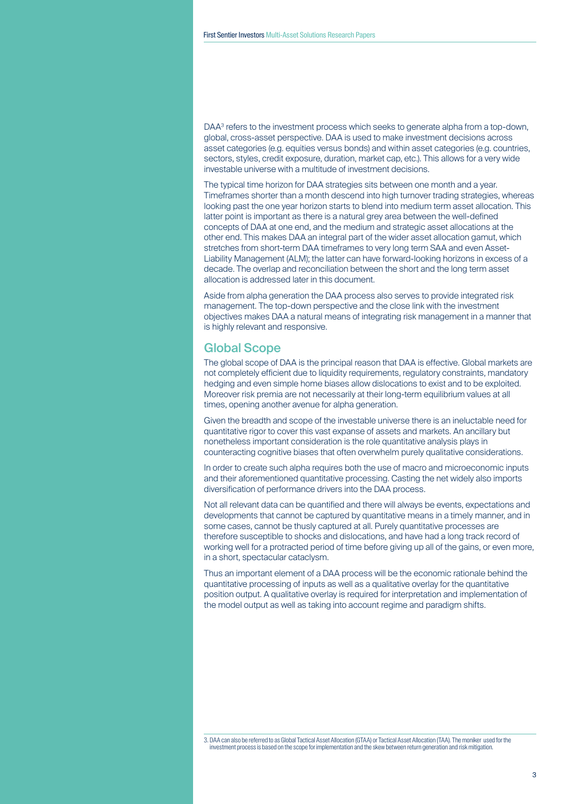DAA3 refers to the investment process which seeks to generate alpha from a top-down, global, cross-asset perspective. DAA is used to make investment decisions across asset categories (e.g. equities versus bonds) and within asset categories (e.g. countries, sectors, styles, credit exposure, duration, market cap, etc.). This allows for a very wide investable universe with a multitude of investment decisions.

The typical time horizon for DAA strategies sits between one month and a year. Timeframes shorter than a month descend into high turnover trading strategies, whereas looking past the one year horizon starts to blend into medium term asset allocation. This latter point is important as there is a natural grey area between the well-defined concepts of DAA at one end, and the medium and strategic asset allocations at the other end. This makes DAA an integral part of the wider asset allocation gamut, which stretches from short-term DAA timeframes to very long term SAA and even Asset-Liability Management (ALM); the latter can have forward-looking horizons in excess of a decade. The overlap and reconciliation between the short and the long term asset allocation is addressed later in this document.

Aside from alpha generation the DAA process also serves to provide integrated risk management. The top-down perspective and the close link with the investment objectives makes DAA a natural means of integrating risk management in a manner that is highly relevant and responsive.

## Global Scope

The global scope of DAA is the principal reason that DAA is effective. Global markets are not completely efficient due to liquidity requirements, regulatory constraints, mandatory hedging and even simple home biases allow dislocations to exist and to be exploited. Moreover risk premia are not necessarily at their long-term equilibrium values at all times, opening another avenue for alpha generation.

Given the breadth and scope of the investable universe there is an ineluctable need for quantitative rigor to cover this vast expanse of assets and markets. An ancillary but nonetheless important consideration is the role quantitative analysis plays in counteracting cognitive biases that often overwhelm purely qualitative considerations.

In order to create such alpha requires both the use of macro and microeconomic inputs and their aforementioned quantitative processing. Casting the net widely also imports diversification of performance drivers into the DAA process.

Not all relevant data can be quantified and there will always be events, expectations and developments that cannot be captured by quantitative means in a timely manner, and in some cases, cannot be thusly captured at all. Purely quantitative processes are therefore susceptible to shocks and dislocations, and have had a long track record of working well for a protracted period of time before giving up all of the gains, or even more, in a short, spectacular cataclysm.

Thus an important element of a DAA process will be the economic rationale behind the quantitative processing of inputs as well as a qualitative overlay for the quantitative position output. A qualitative overlay is required for interpretation and implementation of the model output as well as taking into account regime and paradigm shifts.

<sup>3.</sup> DAA can also be referred to as Global Tactical Asset Allocation (GTAA) or Tactical Asset Allocation (TAA). The moniker used for the investment process is based on the scope for implementation and the skew between return generation and risk mitigation.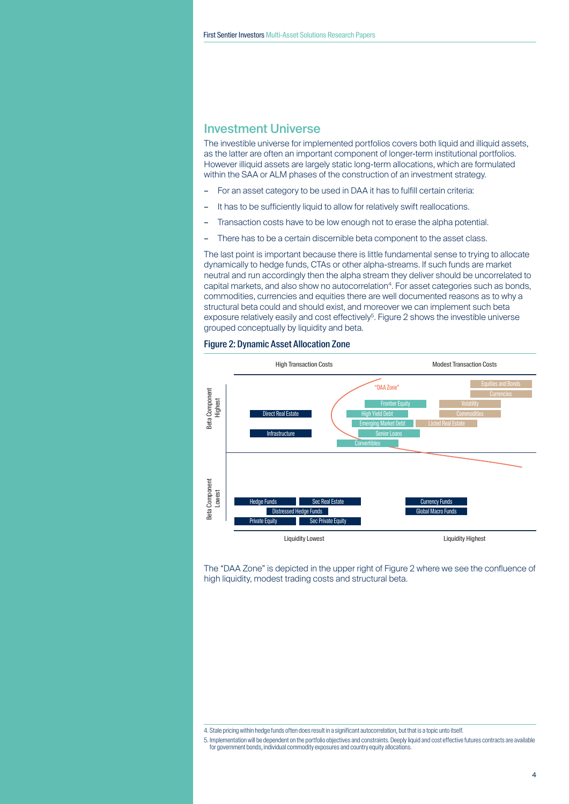## Investment Universe

The investible universe for implemented portfolios covers both liquid and illiquid assets, as the latter are often an important component of longer-term institutional portfolios. However illiquid assets are largely static long-term allocations, which are formulated within the SAA or ALM phases of the construction of an investment strategy.

- For an asset category to be used in DAA it has to fulfill certain criteria:
- It has to be sufficiently liquid to allow for relatively swift reallocations.
- Transaction costs have to be low enough not to erase the alpha potential.
- There has to be a certain discernible beta component to the asset class.

The last point is important because there is little fundamental sense to trying to allocate dynamically to hedge funds, CTAs or other alpha-streams. If such funds are market neutral and run accordingly then the alpha stream they deliver should be uncorrelated to capital markets, and also show no autocorrelation<sup>4</sup>. For asset categories such as bonds, commodities, currencies and equities there are well documented reasons as to why a structural beta could and should exist, and moreover we can implement such beta exposure relatively easily and cost effectively<sup>5</sup>. Figure 2 shows the investible universe grouped conceptually by liquidity and beta.





The "DAA Zone" is depicted in the upper right of Figure 2 where we see the confluence of high liquidity, modest trading costs and structural beta.

5. Implementation will be dependent on the portfolio objectives and constraints. Deeply liquid and cost effective futures contracts are available for government bonds, individual commodity exposures and country equity allocations.

<sup>4.</sup> Stale pricing within hedge funds often does result in a significant autocorrelation, but that is a topic unto itself.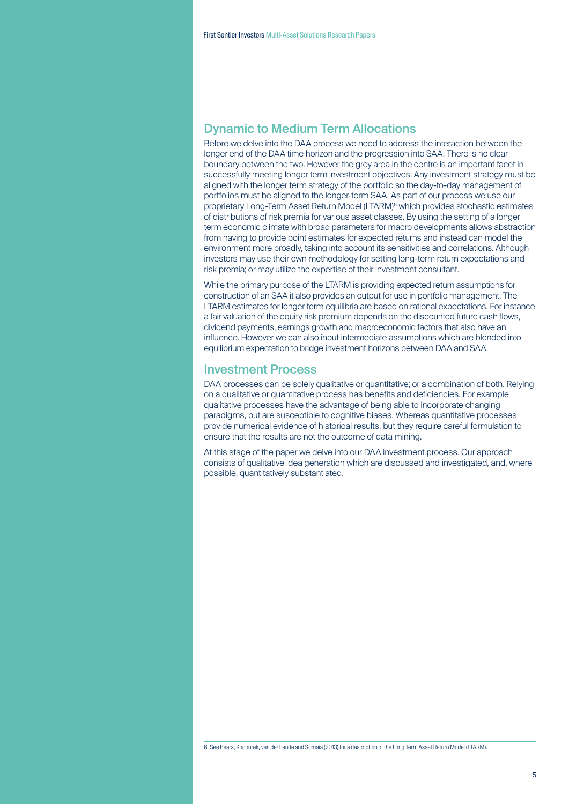## Dynamic to Medium Term Allocations

Before we delve into the DAA process we need to address the interaction between the longer end of the DAA time horizon and the progression into SAA. There is no clear boundary between the two. However the grey area in the centre is an important facet in successfully meeting longer term investment objectives. Any investment strategy must be aligned with the longer term strategy of the portfolio so the day-to-day management of portfolios must be aligned to the longer-term SAA. As part of our process we use our proprietary Long-Term Asset Return Model (LTARM)6 which provides stochastic estimates of distributions of risk premia for various asset classes. By using the setting of a longer term economic climate with broad parameters for macro developments allows abstraction from having to provide point estimates for expected returns and instead can model the environment more broadly, taking into account its sensitivities and correlations. Although investors may use their own methodology for setting long-term return expectations and risk premia; or may utilize the expertise of their investment consultant.

While the primary purpose of the LTARM is providing expected return assumptions for construction of an SAA it also provides an output for use in portfolio management. The LTARM estimates for longer term equilibria are based on rational expectations. For instance a fair valuation of the equity risk premium depends on the discounted future cash flows, dividend payments, earnings growth and macroeconomic factors that also have an influence. However we can also input intermediate assumptions which are blended into equilibrium expectation to bridge investment horizons between DAA and SAA.

#### Investment Process

DAA processes can be solely qualitative or quantitative; or a combination of both. Relying on a qualitative or quantitative process has benefits and deficiencies. For example qualitative processes have the advantage of being able to incorporate changing paradigms, but are susceptible to cognitive biases. Whereas quantitative processes provide numerical evidence of historical results, but they require careful formulation to ensure that the results are not the outcome of data mining.

At this stage of the paper we delve into our DAA investment process. Our approach consists of qualitative idea generation which are discussed and investigated, and, where possible, quantitatively substantiated.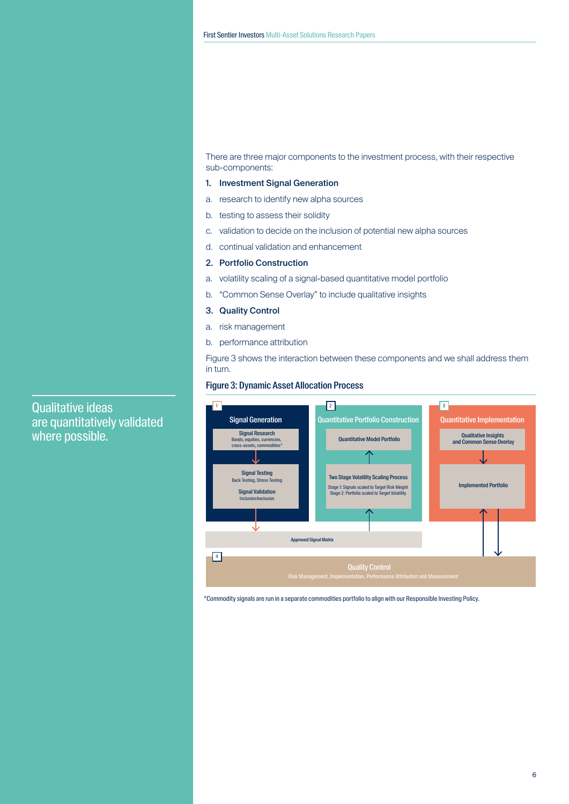There are three major components to the investment process, with their respective sub-components:

#### 1. Investment Signal Generation

- a. research to identify new alpha sources
- b. testing to assess their solidity
- c. validation to decide on the inclusion of potential new alpha sources
- d. continual validation and enhancement
- 2. Portfolio Construction
- a. volatility scaling of a signal-based quantitative model portfolio
- b. "Common Sense Overlay" to include qualitative insights
- 3. Quality Control
- a. risk management
- b. performance attribution

Figure 3 shows the interaction between these components and we shall address them in turn.

#### Figure 3: Dynamic Asset Allocation Process



\*Commodity signals are run in a separate commodities portfolio to align with our Responsible Investing Policy.

are quantitatively validated where possible.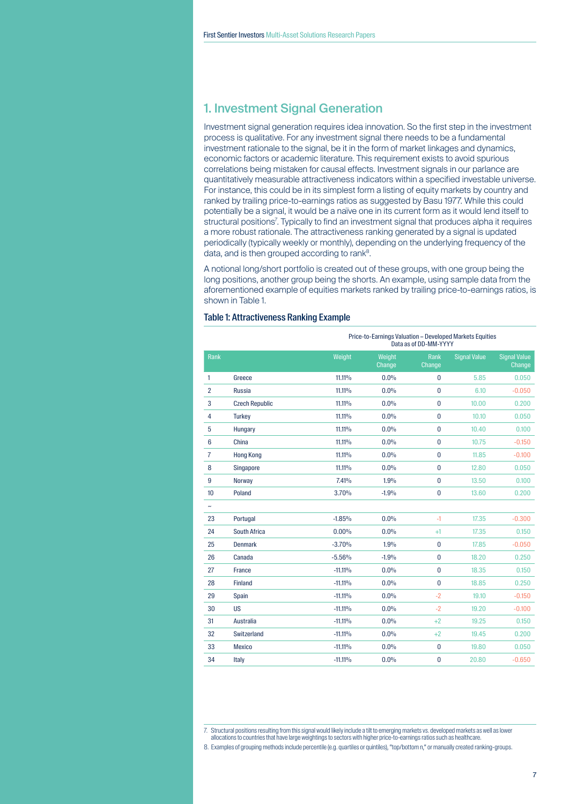## 1. Investment Signal Generation

Investment signal generation requires idea innovation. So the first step in the investment process is qualitative. For any investment signal there needs to be a fundamental investment rationale to the signal, be it in the form of market linkages and dynamics, economic factors or academic literature. This requirement exists to avoid spurious correlations being mistaken for causal effects. Investment signals in our parlance are quantitatively measurable attractiveness indicators within a specified investable universe. For instance, this could be in its simplest form a listing of equity markets by country and ranked by trailing price-to-earnings ratios as suggested by Basu 1977. While this could potentially be a signal, it would be a naïve one in its current form as it would lend itself to structural positions<sup>7</sup>. Typically to find an investment signal that produces alpha it requires a more robust rationale. The attractiveness ranking generated by a signal is updated periodically (typically weekly or monthly), depending on the underlying frequency of the data, and is then grouped according to rank<sup>8</sup>.

A notional long/short portfolio is created out of these groups, with one group being the long positions, another group being the shorts. An example, using sample data from the aforementioned example of equities markets ranked by trailing price-to-earnings ratios, is shown in Table 1.

|                |                       |            | Price-to-Earnings Valuation - Developed Markets Equities<br>Data as of DD-MM-YYYY |                |                     |                        |  |
|----------------|-----------------------|------------|-----------------------------------------------------------------------------------|----------------|---------------------|------------------------|--|
| Rank           |                       | Weight     | Weight<br>Change                                                                  | Rank<br>Change | <b>Signal Value</b> | Signal Value<br>Change |  |
| 1              | Greece                | 11.11%     | 0.0%                                                                              | $\bf{0}$       | 5.85                | 0.050                  |  |
| $\overline{2}$ | <b>Russia</b>         | 11.11%     | 0.0%                                                                              | $\mathbf{0}$   | 6.10                | $-0.050$               |  |
| 3              | <b>Czech Republic</b> | 11.11%     | 0.0%                                                                              | $\bf{0}$       | 10.00               | 0.200                  |  |
| $\overline{4}$ | <b>Turkey</b>         | 11.11%     | 0.0%                                                                              | $\bf{0}$       | 10.10               | 0.050                  |  |
| 5              | Hungary               | 11.11%     | 0.0%                                                                              | $\bf{0}$       | 10.40               | 0.100                  |  |
| $6\phantom{1}$ | China                 | 11.11%     | $0.0\%$                                                                           | $\bf{0}$       | 10.75               | $-0.150$               |  |
| $\overline{7}$ | <b>Hong Kong</b>      | 11.11%     | 0.0%                                                                              | $\bf{0}$       | 11.85               | $-0.100$               |  |
| 8              | Singapore             | 11.11%     | 0.0%                                                                              | $\bf{0}$       | 12.80               | 0.050                  |  |
| 9              | <b>Norway</b>         | 7.41%      | 1.9%                                                                              | $\mathbf{0}$   | 13.50               | 0.100                  |  |
| 10             | Poland                | 3.70%      | $-1.9%$                                                                           | $\bf{0}$       | 13.60               | 0.200                  |  |
| $\tilde{}$     |                       |            |                                                                                   |                |                     |                        |  |
| 23             | Portugal              | $-1.85%$   | 0.0%                                                                              | $-1$           | 17.35               | $-0.300$               |  |
| 24             | South Africa          | 0.00%      | 0.0%                                                                              | $+1$           | 17.35               | 0.150                  |  |
| 25             | <b>Denmark</b>        | $-3.70%$   | 1.9%                                                                              | $\bf{0}$       | 17.85               | $-0.050$               |  |
| 26             | Canada                | $-5.56%$   | $-1.9%$                                                                           | $\mathbf{0}$   | 18.20               | 0.250                  |  |
| 27             | <b>France</b>         | $-11.11\%$ | 0.0%                                                                              | $\bf{0}$       | 18.35               | 0.150                  |  |
| 28             | <b>Finland</b>        | $-11.11\%$ | 0.0%                                                                              | $\mathbf{0}$   | 18.85               | 0.250                  |  |
| 29             | Spain                 | $-11.11\%$ | 0.0%                                                                              | $-2$           | 19.10               | $-0.150$               |  |
| 30             | <b>US</b>             | $-11.11\%$ | 0.0%                                                                              | $-2$           | 19.20               | $-0.100$               |  |
| 31             | Australia             | $-11.11\%$ | 0.0%                                                                              | $+2$           | 19.25               | 0.150                  |  |
| 32             | Switzerland           | $-11.11\%$ | 0.0%                                                                              | $+2$           | 19.45               | 0.200                  |  |
| 33             | <b>Mexico</b>         | $-11.11\%$ | 0.0%                                                                              | 0              | 19.80               | 0.050                  |  |
| 34             | Italy                 | $-11.11\%$ | 0.0%                                                                              | $\bf{0}$       | 20.80               | $-0.650$               |  |

#### Table 1: Attractiveness Ranking Example

<sup>7.</sup> Structural positions resulting from this signal would likely include a tilt to emerging markets vs. developed markets as well as lower

allocations to countries that have large weightings to sectors with higher price-to-earnings ratios such as healthcare

<sup>8.</sup> Examples of grouping methods include percentile (e.g. quartiles or quintiles), "top/bottom n," or manually created ranking-groups.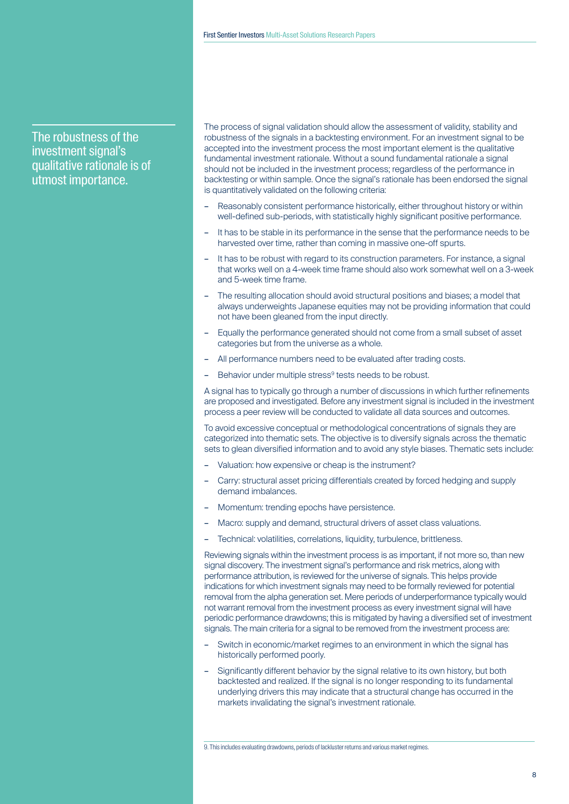# The robustness of the investment signal's qualitative rationale is of utmost importance.

The process of signal validation should allow the assessment of validity, stability and robustness of the signals in a backtesting environment. For an investment signal to be accepted into the investment process the most important element is the qualitative fundamental investment rationale. Without a sound fundamental rationale a signal should not be included in the investment process; regardless of the performance in backtesting or within sample. Once the signal's rationale has been endorsed the signal is quantitatively validated on the following criteria:

- Reasonably consistent performance historically, either throughout history or within well-defined sub-periods, with statistically highly significant positive performance.
- It has to be stable in its performance in the sense that the performance needs to be harvested over time, rather than coming in massive one-off spurts.
- It has to be robust with regard to its construction parameters. For instance, a signal that works well on a 4-week time frame should also work somewhat well on a 3-week and 5-week time frame.
- The resulting allocation should avoid structural positions and biases; a model that always underweights Japanese equities may not be providing information that could not have been gleaned from the input directly.
- Equally the performance generated should not come from a small subset of asset categories but from the universe as a whole.
- All performance numbers need to be evaluated after trading costs.
- Behavior under multiple stress<sup>9</sup> tests needs to be robust.

A signal has to typically go through a number of discussions in which further refinements are proposed and investigated. Before any investment signal is included in the investment process a peer review will be conducted to validate all data sources and outcomes.

To avoid excessive conceptual or methodological concentrations of signals they are categorized into thematic sets. The objective is to diversify signals across the thematic sets to glean diversified information and to avoid any style biases. Thematic sets include:

- Valuation: how expensive or cheap is the instrument?
- Carry: structural asset pricing differentials created by forced hedging and supply demand imbalances.
- Momentum: trending epochs have persistence.
- Macro: supply and demand, structural drivers of asset class valuations.
- Technical: volatilities, correlations, liquidity, turbulence, brittleness.

Reviewing signals within the investment process is as important, if not more so, than new signal discovery. The investment signal's performance and risk metrics, along with performance attribution, is reviewed for the universe of signals. This helps provide indications for which investment signals may need to be formally reviewed for potential removal from the alpha generation set. Mere periods of underperformance typically would not warrant removal from the investment process as every investment signal will have periodic performance drawdowns; this is mitigated by having a diversified set of investment signals. The main criteria for a signal to be removed from the investment process are:

- Switch in economic/market regimes to an environment in which the signal has historically performed poorly.
- Significantly different behavior by the signal relative to its own history, but both backtested and realized. If the signal is no longer responding to its fundamental underlying drivers this may indicate that a structural change has occurred in the markets invalidating the signal's investment rationale.

9. This includes evaluating drawdowns, periods of lackluster returns and various market regimes.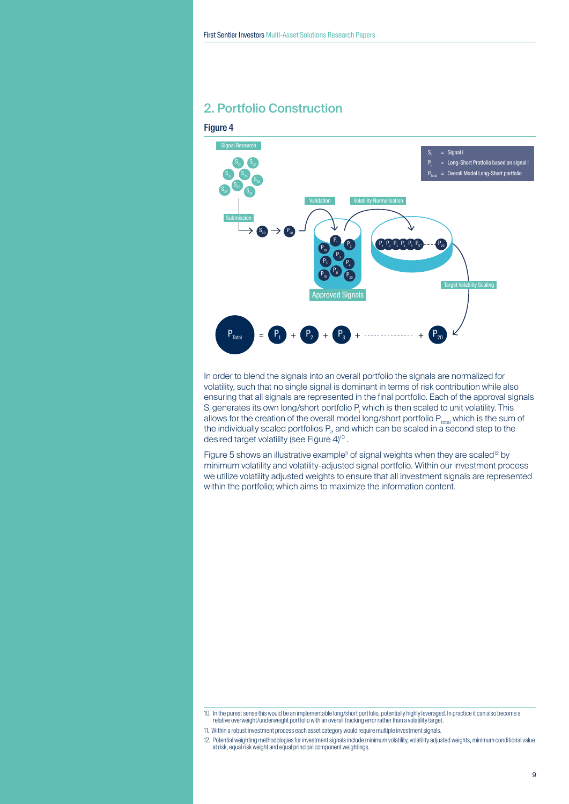# 2. Portfolio Construction

#### Figure 4



In order to blend the signals into an overall portfolio the signals are normalized for volatility, such that no single signal is dominant in terms of risk contribution while also ensuring that all signals are represented in the final portfolio. Each of the approval signals  $S<sub>i</sub>$  generates its own long/short portfolio  $P<sub>i</sub>$  which is then scaled to unit volatility. This allows for the creation of the overall model long/short portfolio  $P_{total}$  which is the sum of the individually scaled portfolios  $P_p$ , and which can be scaled in a second step to the desired target volatility (see Figure 4)<sup>10</sup>.

Figure 5 shows an illustrative example<sup>11</sup> of signal weights when they are scaled<sup>12</sup> by minimum volatility and volatility-adjusted signal portfolio. Within our investment process we utilize volatility adjusted weights to ensure that all investment signals are represented within the portfolio; which aims to maximize the information content.

<sup>10.</sup> In the purest sense this would be an implementable long/short portfolio, potentially highly leveraged. In practice it can also become a relative overweight/underweight portfolio with an overall tracking error rather than a volatility target.

<sup>11.</sup> Within a robust investment process each asset category would require multiple investment signals.

<sup>12.</sup> Potential weighting methodologies for investment signals include minimum volatility, volatility adjusted weights, minimum conditional value at risk, equal risk weight and equal principal component weightings.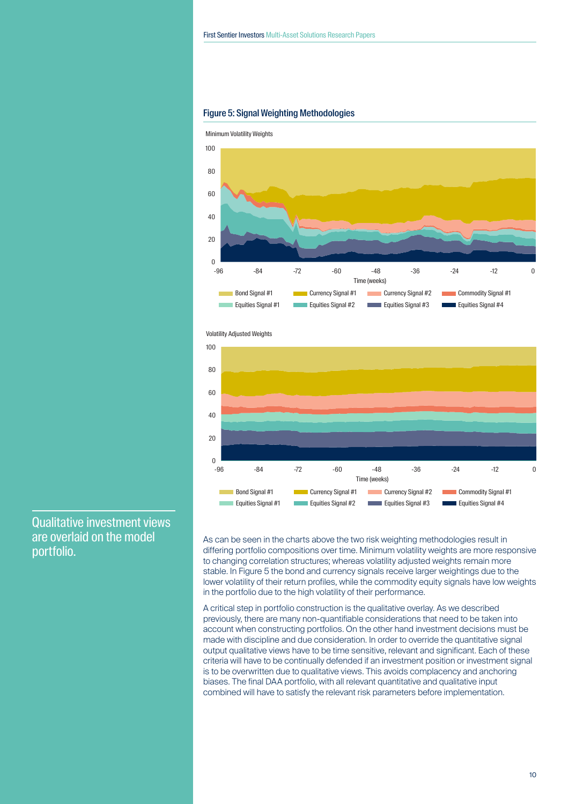

#### Figure 5: Signal Weighting Methodologies

Volatility Adjusted Weights



Qualitative investment views are overlaid on the model portfolio.

As can be seen in the charts above the two risk weighting methodologies result in differing portfolio compositions over time. Minimum volatility weights are more responsive to changing correlation structures; whereas volatility adjusted weights remain more stable. In Figure 5 the bond and currency signals receive larger weightings due to the lower volatility of their return profiles, while the commodity equity signals have low weights in the portfolio due to the high volatility of their performance.

A critical step in portfolio construction is the qualitative overlay. As we described previously, there are many non-quantifiable considerations that need to be taken into account when constructing portfolios. On the other hand investment decisions must be made with discipline and due consideration. In order to override the quantitative signal output qualitative views have to be time sensitive, relevant and significant. Each of these criteria will have to be continually defended if an investment position or investment signal is to be overwritten due to qualitative views. This avoids complacency and anchoring biases. The final DAA portfolio, with all relevant quantitative and qualitative input combined will have to satisfy the relevant risk parameters before implementation.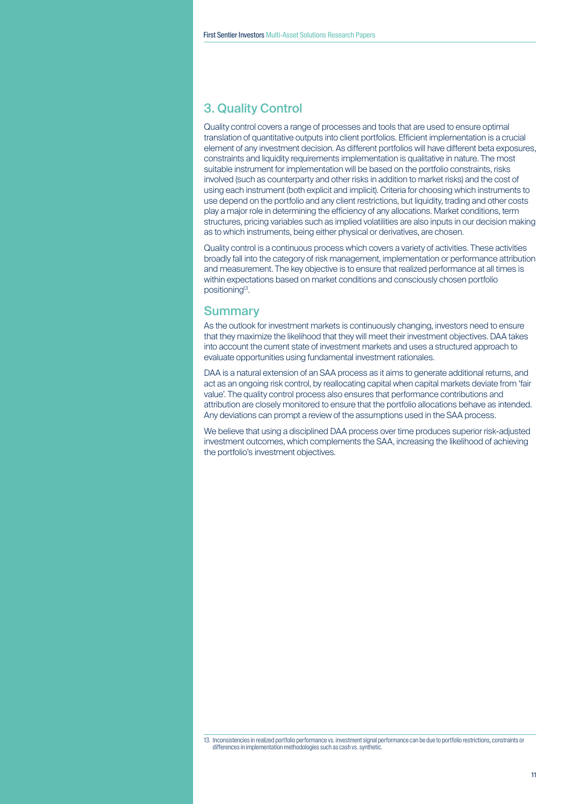# 3. Quality Control

Quality control covers a range of processes and tools that are used to ensure optimal translation of quantitative outputs into client portfolios. Efficient implementation is a crucial element of any investment decision. As different portfolios will have different beta exposures, constraints and liquidity requirements implementation is qualitative in nature. The most suitable instrument for implementation will be based on the portfolio constraints, risks involved (such as counterparty and other risks in addition to market risks) and the cost of using each instrument (both explicit and implicit). Criteria for choosing which instruments to use depend on the portfolio and any client restrictions, but liquidity, trading and other costs play a major role in determining the efficiency of any allocations. Market conditions, term structures, pricing variables such as implied volatilities are also inputs in our decision making as to which instruments, being either physical or derivatives, are chosen.

Quality control is a continuous process which covers a variety of activities. These activities broadly fall into the category of risk management, implementation or performance attribution and measurement. The key objective is to ensure that realized performance at all times is within expectations based on market conditions and consciously chosen portfolio positioning13.

## **Summary**

As the outlook for investment markets is continuously changing, investors need to ensure that they maximize the likelihood that they will meet their investment objectives. DAA takes into account the current state of investment markets and uses a structured approach to evaluate opportunities using fundamental investment rationales.

DAA is a natural extension of an SAA process as it aims to generate additional returns, and act as an ongoing risk control, by reallocating capital when capital markets deviate from 'fair value'. The quality control process also ensures that performance contributions and attribution are closely monitored to ensure that the portfolio allocations behave as intended. Any deviations can prompt a review of the assumptions used in the SAA process.

We believe that using a disciplined DAA process over time produces superior risk-adjusted investment outcomes, which complements the SAA, increasing the likelihood of achieving the portfolio's investment objectives.

<sup>13.</sup> Inconsistencies in realized portfolio performance vs. investment signal performance can be due to portfolio restrictions, constraints or differences in implementation methodologies such as cash vs. synthetic.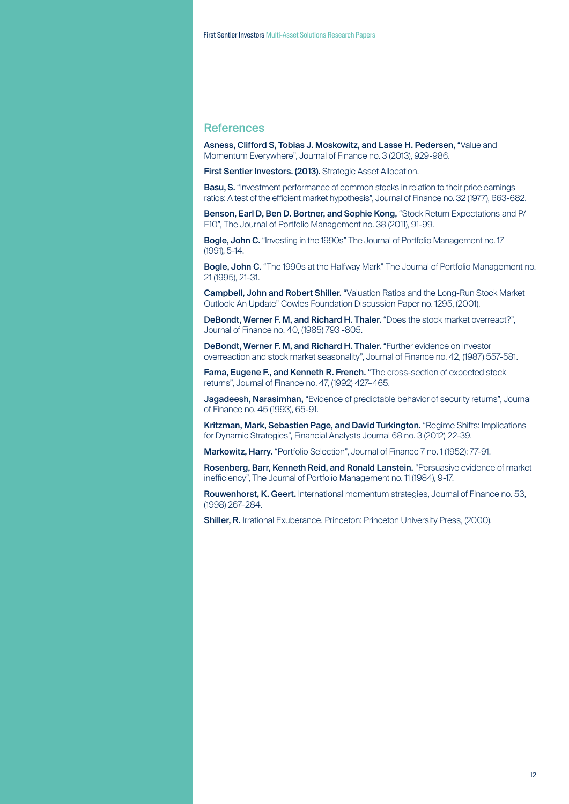### **References**

Asness, Clifford S, Tobias J. Moskowitz, and Lasse H. Pedersen, "Value and Momentum Everywhere", Journal of Finance no. 3 (2013), 929-986.

First Sentier Investors. (2013). Strategic Asset Allocation.

Basu, S. "Investment performance of common stocks in relation to their price earnings ratios: A test of the efficient market hypothesis", Journal of Finance no. 32 (1977), 663-682.

Benson, Earl D, Ben D. Bortner, and Sophie Kong, "Stock Return Expectations and P/ E10", The Journal of Portfolio Management no. 38 (2011), 91-99.

Bogle, John C. "Investing in the 1990s" The Journal of Portfolio Management no. 17 (1991), 5-14.

Bogle, John C. "The 1990s at the Halfway Mark" The Journal of Portfolio Management no. 21 (1995), 21-31.

Campbell, John and Robert Shiller. "Valuation Ratios and the Long-Run Stock Market Outlook: An Update" Cowles Foundation Discussion Paper no. 1295, (2001).

DeBondt, Werner F. M, and Richard H. Thaler. "Does the stock market overreact?", Journal of Finance no. 40, (1985) 793 -805.

DeBondt, Werner F. M, and Richard H. Thaler. "Further evidence on investor overreaction and stock market seasonality", Journal of Finance no. 42, (1987) 557-581.

Fama, Eugene F., and Kenneth R. French. "The cross-section of expected stock returns", Journal of Finance no. 47, (1992) 427–465.

Jagadeesh, Narasimhan, "Evidence of predictable behavior of security returns", Journal of Finance no. 45 (1993), 65-91.

Kritzman, Mark, Sebastien Page, and David Turkington. "Regime Shifts: Implications for Dynamic Strategies", Financial Analysts Journal 68 no. 3 (2012) 22-39.

Markowitz, Harry. "Portfolio Selection", Journal of Finance 7 no. 1 (1952): 77-91.

Rosenberg, Barr, Kenneth Reid, and Ronald Lanstein. "Persuasive evidence of market inefficiency", The Journal of Portfolio Management no. 11 (1984), 9-17.

Rouwenhorst, K. Geert. International momentum strategies, Journal of Finance no. 53, (1998) 267–284.

Shiller, R. Irrational Exuberance. Princeton: Princeton University Press, (2000).